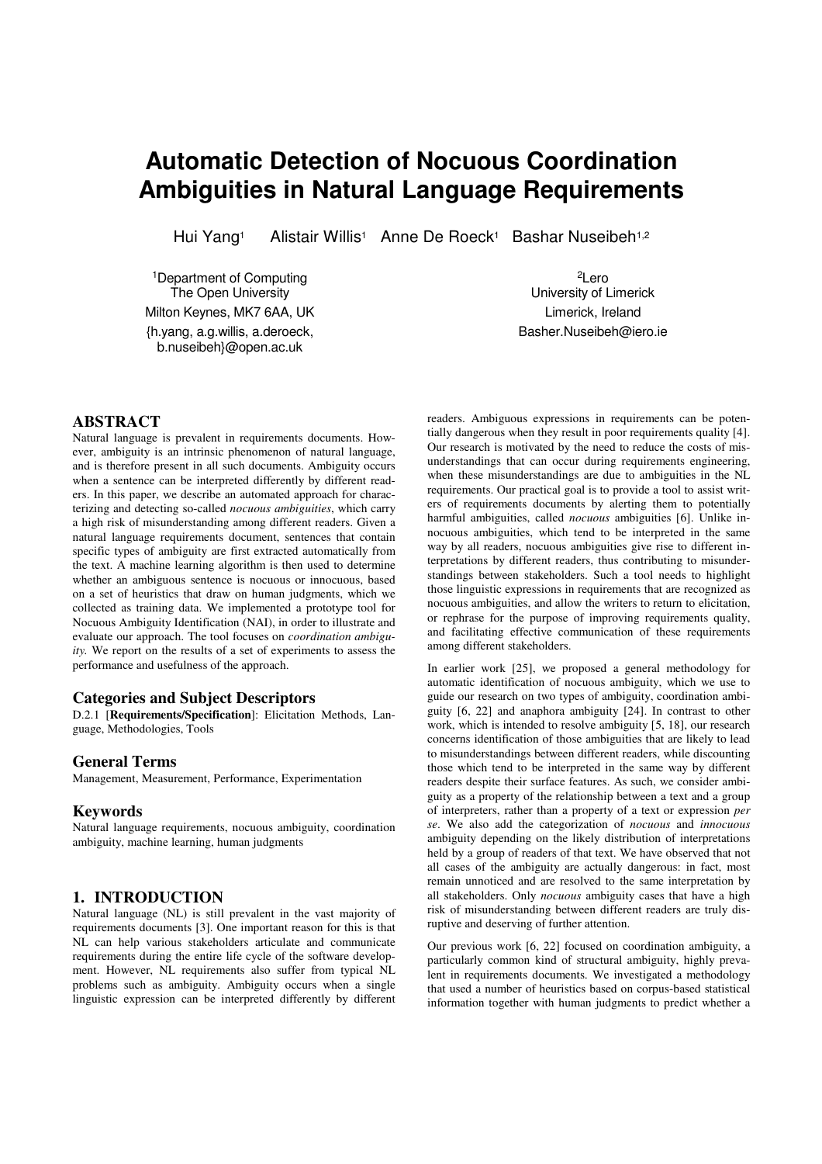# **Automatic Detection of Nocuous Coordination Ambiguities in Natural Language Requirements**

Hui Yang<sup>1</sup> Alistair Willis<sup>1</sup> Anne De Roeck<sup>1</sup> Bashar Nuseibeh<sup>1,2</sup>

<sup>1</sup>Department of Computing The Open University Milton Keynes, MK7 6AA, UK {h.yang, a.g.willis, a.deroeck, b.nuseibeh}@open.ac.uk

**ABSTRACT**

Natural language is prevalent in requirements documents. However, ambiguity is an intrinsic phenomenon of natural language, and is therefore present in all such documents. Ambiguity occurs when a sentence can be interpreted differently by different readers. In this paper, we describe an automated approach for characterizing and detecting so-called *nocuous ambiguities*, which carry a high risk of misunderstanding among different readers. Given a natural language requirements document, sentences that contain specific types of ambiguity are first extracted automatically from the text. A machine learning algorithm is then used to determine whether an ambiguous sentence is nocuous or innocuous, based on a set of heuristics that draw on human judgments, which we collected as training data. We implemented a prototype tool for Nocuous Ambiguity Identification (NAI), in order to illustrate and evaluate our approach. The tool focuses on *coordination ambiguity.* We report on the results of a set of experiments to assess the performance and usefulness of the approach.

# **Categories and Subject Descriptors**

D.2.1 [**Requirements/Specification**]: Elicitation Methods, Language, Methodologies, Tools

# **General Terms**

Management, Measurement, Performance, Experimentation

# **Keywords**

Natural language requirements, nocuous ambiguity, coordination ambiguity, machine learning, human judgments

# **1. INTRODUCTION**

Natural language (NL) is still prevalent in the vast majority of requirements documents [3]. One important reason for this is that NL can help various stakeholders articulate and communicate requirements during the entire life cycle of the software development. However, NL requirements also suffer from typical NL problems such as ambiguity. Ambiguity occurs when a single linguistic expression can be interpreted differently by different

<sup>2</sup>Lero University of Limerick Limerick, Ireland Basher.Nuseibeh@iero.ie

readers. Ambiguous expressions in requirements can be potentially dangerous when they result in poor requirements quality [4]. Our research is motivated by the need to reduce the costs of misunderstandings that can occur during requirements engineering, when these misunderstandings are due to ambiguities in the NL requirements. Our practical goal is to provide a tool to assist writers of requirements documents by alerting them to potentially harmful ambiguities, called *nocuous* ambiguities [6]. Unlike innocuous ambiguities, which tend to be interpreted in the same way by all readers, nocuous ambiguities give rise to different interpretations by different readers, thus contributing to misunderstandings between stakeholders. Such a tool needs to highlight those linguistic expressions in requirements that are recognized as nocuous ambiguities, and allow the writers to return to elicitation, or rephrase for the purpose of improving requirements quality, and facilitating effective communication of these requirements among different stakeholders.

In earlier work [25], we proposed a general methodology for automatic identification of nocuous ambiguity, which we use to guide our research on two types of ambiguity, coordination ambiguity [6, 22] and anaphora ambiguity [24]. In contrast to other work, which is intended to resolve ambiguity [5, 18], our research concerns identification of those ambiguities that are likely to lead to misunderstandings between different readers, while discounting those which tend to be interpreted in the same way by different readers despite their surface features. As such, we consider ambiguity as a property of the relationship between a text and a group of interpreters, rather than a property of a text or expression *per se*. We also add the categorization of *nocuous* and *innocuous* ambiguity depending on the likely distribution of interpretations held by a group of readers of that text. We have observed that not all cases of the ambiguity are actually dangerous: in fact, most remain unnoticed and are resolved to the same interpretation by all stakeholders. Only *nocuous* ambiguity cases that have a high risk of misunderstanding between different readers are truly disruptive and deserving of further attention.

Our previous work [6, 22] focused on coordination ambiguity, a particularly common kind of structural ambiguity, highly prevalent in requirements documents. We investigated a methodology that used a number of heuristics based on corpus-based statistical information together with human judgments to predict whether a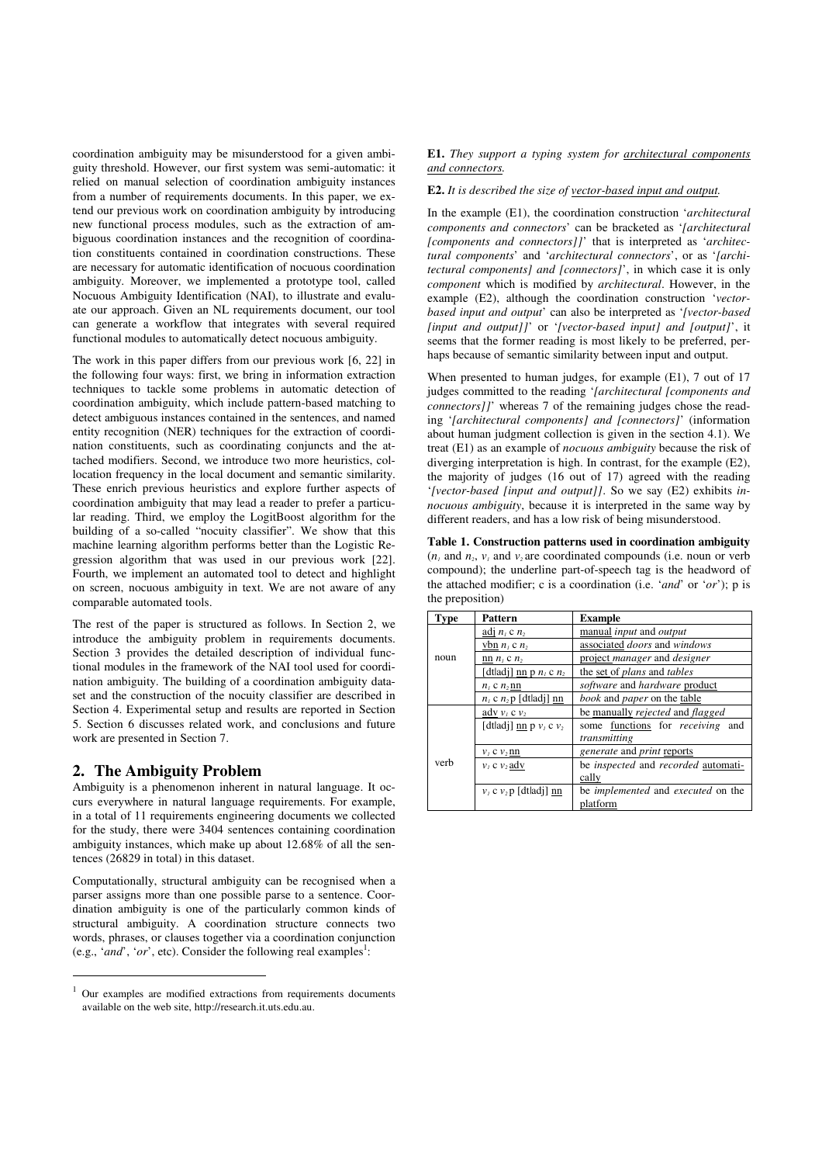coordination ambiguity may be misunderstood for a given ambiguity threshold. However, our first system was semi-automatic: it relied on manual selection of coordination ambiguity instances from a number of requirements documents. In this paper, we extend our previous work on coordination ambiguity by introducing new functional process modules, such as the extraction of ambiguous coordination instances and the recognition of coordination constituents contained in coordination constructions. These are necessary for automatic identification of nocuous coordination ambiguity. Moreover, we implemented a prototype tool, called Nocuous Ambiguity Identification (NAI), to illustrate and evaluate our approach. Given an NL requirements document, our tool can generate a workflow that integrates with several required functional modules to automatically detect nocuous ambiguity.

The work in this paper differs from our previous work [6, 22] in the following four ways: first, we bring in information extraction techniques to tackle some problems in automatic detection of coordination ambiguity, which include pattern-based matching to detect ambiguous instances contained in the sentences, and named entity recognition (NER) techniques for the extraction of coordination constituents, such as coordinating conjuncts and the attached modifiers. Second, we introduce two more heuristics, collocation frequency in the local document and semantic similarity. These enrich previous heuristics and explore further aspects of coordination ambiguity that may lead a reader to prefer a particular reading. Third, we employ the LogitBoost algorithm for the building of a so-called "nocuity classifier". We show that this machine learning algorithm performs better than the Logistic Regression algorithm that was used in our previous work [22]. Fourth, we implement an automated tool to detect and highlight on screen, nocuous ambiguity in text. We are not aware of any comparable automated tools.

The rest of the paper is structured as follows. In Section 2, we introduce the ambiguity problem in requirements documents. Section 3 provides the detailed description of individual functional modules in the framework of the NAI tool used for coordination ambiguity. The building of a coordination ambiguity dataset and the construction of the nocuity classifier are described in Section 4. Experimental setup and results are reported in Section 5. Section 6 discusses related work, and conclusions and future work are presented in Section 7.

### **2. The Ambiguity Problem**

j

Ambiguity is a phenomenon inherent in natural language. It occurs everywhere in natural language requirements. For example, in a total of 11 requirements engineering documents we collected for the study, there were 3404 sentences containing coordination ambiguity instances, which make up about 12.68% of all the sentences (26829 in total) in this dataset.

Computationally, structural ambiguity can be recognised when a parser assigns more than one possible parse to a sentence. Coordination ambiguity is one of the particularly common kinds of structural ambiguity. A coordination structure connects two words, phrases, or clauses together via a coordination conjunction (e.g., '*and*', '*or*', etc). Consider the following real examples<sup>1</sup>:

#### **E1.** *They support a typing system for architectural components and connectors.*

#### **E2.** *It is described the size of vector-based input and output.*

In the example (E1), the coordination construction '*architectural components and connectors*' can be bracketed as '*[architectural [components and connectors]]*' that is interpreted as '*architectural components*' and '*architectural connectors*', or as '*[architectural components] and [connectors]*', in which case it is only *component* which is modified by *architectural*. However, in the example (E2), although the coordination construction '*vectorbased input and output*' can also be interpreted as '*[vector-based [input and output]]*' or '*[vector-based input] and [output]*', it seems that the former reading is most likely to be preferred, perhaps because of semantic similarity between input and output.

When presented to human judges, for example (E1), 7 out of 17 judges committed to the reading '*[architectural [components and connectors]]*' whereas 7 of the remaining judges chose the reading '*[architectural components] and [connectors]*' (information about human judgment collection is given in the section 4.1). We treat (E1) as an example of *nocuous ambiguity* because the risk of diverging interpretation is high. In contrast, for the example (E2), the majority of judges (16 out of 17) agreed with the reading '*[vector-based [input and output]]*. So we say (E2) exhibits *innocuous ambiguity*, because it is interpreted in the same way by different readers, and has a low risk of being misunderstood.

**Table 1. Construction patterns used in coordination ambiguity**   $(n_i)$  and  $n_i$ ,  $v_i$  and  $v_i$  are coordinated compounds (i.e. noun or verb compound); the underline part-of-speech tag is the headword of the attached modifier; c is a coordination (i.e. '*and*' or '*or*'); p is the preposition)

| Type | Pattern                     | <b>Example</b>                                    |  |  |
|------|-----------------------------|---------------------------------------------------|--|--|
|      | adj $n_i$ c $n_i$           | manual <i>input</i> and <i>output</i>             |  |  |
| noun | vbn $n_i$ c $n_2$           | associated <i>doors</i> and windows               |  |  |
|      | nn $n_i$ c $n_2$            | project <i>manager</i> and <i>designer</i>        |  |  |
|      | [dtladj] nn p $n_1$ c $n_2$ | the set of <i>plans</i> and <i>tables</i>         |  |  |
|      | $n_1$ c $n_2$ nn            | software and hardware product                     |  |  |
|      | $n_1$ c $n_2$ p [dtladj] nn | book and paper on the table                       |  |  |
| verb | adv $v_i$ c $v_2$           | be manually <i>rejected</i> and <i>flagged</i>    |  |  |
|      | [dtladj] nn p $v_i$ c $v_2$ | some functions for <i>receiving</i><br>and        |  |  |
|      |                             | transmitting                                      |  |  |
|      | $v_1$ c $v_2$ nn            | <i>generate</i> and <i>print</i> reports          |  |  |
|      | $v_1$ c $v_2$ adv           | be <i>inspected</i> and <i>recorded</i> automati- |  |  |
|      |                             | cally                                             |  |  |
|      | $v_1$ c $v_2$ [dtladj] nn   | be <i>implemented</i> and <i>executed</i> on the  |  |  |
|      |                             | platform                                          |  |  |

<sup>1</sup> Our examples are modified extractions from requirements documents available on the web site, http://research.it.uts.edu.au.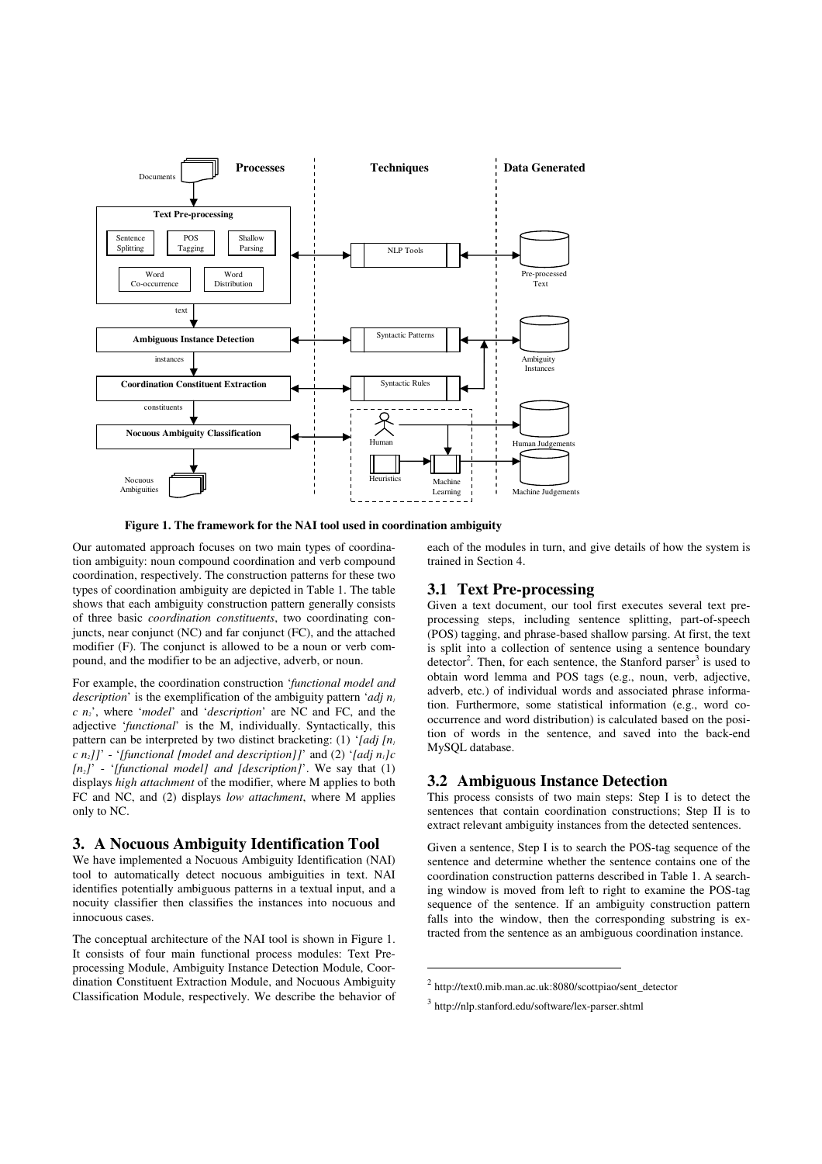

 **Figure 1. The framework for the NAI tool used in coordination ambiguity** 

Our automated approach focuses on two main types of coordination ambiguity: noun compound coordination and verb compound coordination, respectively. The construction patterns for these two types of coordination ambiguity are depicted in Table 1. The table shows that each ambiguity construction pattern generally consists of three basic *coordination constituents*, two coordinating conjuncts, near conjunct (NC) and far conjunct (FC), and the attached modifier (F). The conjunct is allowed to be a noun or verb compound, and the modifier to be an adjective, adverb, or noun.

For example, the coordination construction '*functional model and description*' is the exemplification of the ambiguity pattern '*adj n<sup>1</sup> c n2*', where '*model*' and '*description*' are NC and FC, and the adjective '*functional*' is the M, individually. Syntactically, this pattern can be interpreted by two distinct bracketing: (1) '*[adj [n<sup>1</sup> <i>n*<sub>2</sub>]]' - '*[functional [model and description]]*' and (2) '*[adj n<sub>i</sub>]c [n2]*' - '*[functional model] and [description]*'. We say that (1) displays *high attachment* of the modifier, where M applies to both FC and NC, and (2) displays *low attachment*, where M applies only to NC.

# **3. A Nocuous Ambiguity Identification Tool**

We have implemented a Nocuous Ambiguity Identification (NAI) tool to automatically detect nocuous ambiguities in text. NAI identifies potentially ambiguous patterns in a textual input, and a nocuity classifier then classifies the instances into nocuous and innocuous cases.

The conceptual architecture of the NAI tool is shown in Figure 1. It consists of four main functional process modules: Text Preprocessing Module, Ambiguity Instance Detection Module, Coordination Constituent Extraction Module, and Nocuous Ambiguity Classification Module, respectively. We describe the behavior of each of the modules in turn, and give details of how the system is trained in Section 4.

# **3.1 Text Pre-processing**

Given a text document, our tool first executes several text preprocessing steps, including sentence splitting, part-of-speech (POS) tagging, and phrase-based shallow parsing. At first, the text is split into a collection of sentence using a sentence boundary detector<sup>2</sup>. Then, for each sentence, the Stanford parser<sup>3</sup> is used to obtain word lemma and POS tags (e.g., noun, verb, adjective, adverb, etc.) of individual words and associated phrase information. Furthermore, some statistical information (e.g., word cooccurrence and word distribution) is calculated based on the position of words in the sentence, and saved into the back-end MySQL database.

# **3.2 Ambiguous Instance Detection**

This process consists of two main steps: Step I is to detect the sentences that contain coordination constructions; Step II is to extract relevant ambiguity instances from the detected sentences.

Given a sentence, Step I is to search the POS-tag sequence of the sentence and determine whether the sentence contains one of the coordination construction patterns described in Table 1. A searching window is moved from left to right to examine the POS-tag sequence of the sentence. If an ambiguity construction pattern falls into the window, then the corresponding substring is extracted from the sentence as an ambiguous coordination instance.

 $\overline{a}$ 

<sup>2</sup> http://text0.mib.man.ac.uk:8080/scottpiao/sent\_detector

<sup>3</sup> http://nlp.stanford.edu/software/lex-parser.shtml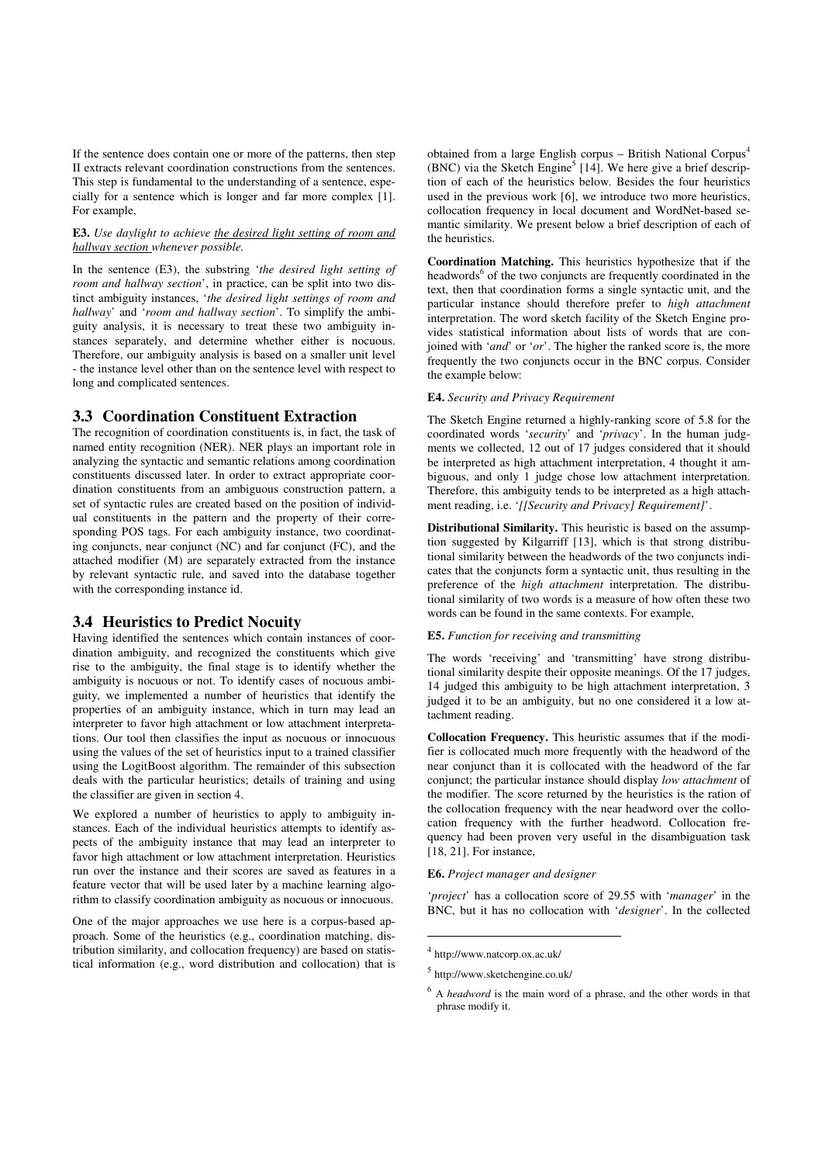If the sentence does contain one or more of the patterns, then step II extracts relevant coordination constructions from the sentences. This step is fundamental to the understanding of a sentence, especially for a sentence which is longer and far more complex [1]. For example,

#### **E3.** *Use daylight to achieve the desired light setting of room and hallway section whenever possible.*

In the sentence (E3), the substring '*the desired light setting of room and hallway section'*, in practice, can be split into two distinct ambiguity instances, '*the desired light settings of room and hallway*' and '*room and hallway section*'. To simplify the ambiguity analysis, it is necessary to treat these two ambiguity instances separately, and determine whether either is nocuous. Therefore, our ambiguity analysis is based on a smaller unit level - the instance level other than on the sentence level with respect to long and complicated sentences.

# **3.3 Coordination Constituent Extraction**

The recognition of coordination constituents is, in fact, the task of named entity recognition (NER). NER plays an important role in analyzing the syntactic and semantic relations among coordination constituents discussed later. In order to extract appropriate coordination constituents from an ambiguous construction pattern, a set of syntactic rules are created based on the position of individual constituents in the pattern and the property of their corresponding POS tags. For each ambiguity instance, two coordinating conjuncts, near conjunct (NC) and far conjunct (FC), and the attached modifier (M) are separately extracted from the instance by relevant syntactic rule, and saved into the database together with the corresponding instance id.

# **3.4 Heuristics to Predict Nocuity**

Having identified the sentences which contain instances of coordination ambiguity, and recognized the constituents which give rise to the ambiguity, the final stage is to identify whether the ambiguity is nocuous or not. To identify cases of nocuous ambiguity, we implemented a number of heuristics that identify the properties of an ambiguity instance, which in turn may lead an interpreter to favor high attachment or low attachment interpretations. Our tool then classifies the input as nocuous or innocuous using the values of the set of heuristics input to a trained classifier using the LogitBoost algorithm. The remainder of this subsection deals with the particular heuristics; details of training and using the classifier are given in section 4.

We explored a number of heuristics to apply to ambiguity instances. Each of the individual heuristics attempts to identify aspects of the ambiguity instance that may lead an interpreter to favor high attachment or low attachment interpretation. Heuristics run over the instance and their scores are saved as features in a feature vector that will be used later by a machine learning algorithm to classify coordination ambiguity as nocuous or innocuous.

One of the major approaches we use here is a corpus-based approach. Some of the heuristics (e.g., coordination matching, distribution similarity, and collocation frequency) are based on statistical information (e.g., word distribution and collocation) that is obtained from a large English corpus – British National Corpus<sup>4</sup> (BNC) via the Sketch Engine<sup>5</sup> [14]. We here give a brief description of each of the heuristics below. Besides the four heuristics used in the previous work [6], we introduce two more heuristics, collocation frequency in local document and WordNet-based semantic similarity. We present below a brief description of each of the heuristics.

**Coordination Matching.** This heuristics hypothesize that if the headwords<sup>6</sup> of the two conjuncts are frequently coordinated in the text, then that coordination forms a single syntactic unit, and the particular instance should therefore prefer to *high attachment* interpretation. The word sketch facility of the Sketch Engine provides statistical information about lists of words that are conjoined with '*and*' or '*or*'. The higher the ranked score is, the more frequently the two conjuncts occur in the BNC corpus. Consider the example below:

#### **E4.** *Security and Privacy Requirement*

The Sketch Engine returned a highly-ranking score of 5.8 for the coordinated words '*security*' and '*privacy*'. In the human judgments we collected, 12 out of 17 judges considered that it should be interpreted as high attachment interpretation, 4 thought it ambiguous, and only 1 judge chose low attachment interpretation. Therefore, this ambiguity tends to be interpreted as a high attachment reading, i.e. '*[[Security and Privacy] Requirement]*'.

**Distributional Similarity.** This heuristic is based on the assumption suggested by Kilgarriff [13], which is that strong distributional similarity between the headwords of the two conjuncts indicates that the conjuncts form a syntactic unit, thus resulting in the preference of the *high attachment* interpretation. The distributional similarity of two words is a measure of how often these two words can be found in the same contexts. For example,

#### **E5.** *Function for receiving and transmitting*

The words 'receiving' and 'transmitting' have strong distributional similarity despite their opposite meanings. Of the 17 judges, 14 judged this ambiguity to be high attachment interpretation, 3 judged it to be an ambiguity, but no one considered it a low attachment reading.

**Collocation Frequency.** This heuristic assumes that if the modifier is collocated much more frequently with the headword of the near conjunct than it is collocated with the headword of the far conjunct; the particular instance should display *low attachment* of the modifier. The score returned by the heuristics is the ration of the collocation frequency with the near headword over the collocation frequency with the further headword. Collocation frequency had been proven very useful in the disambiguation task [18, 21]. For instance,

#### **E6.** *Project manager and designer*

'*project*' has a collocation score of 29.55 with '*manager*' in the BNC, but it has no collocation with '*designer*'. In the collected

 $\overline{a}$ 

<sup>4</sup> http://www.natcorp.ox.ac.uk/

<sup>5</sup> http://www.sketchengine.co.uk/

<sup>6</sup> A *headword* is the main word of a phrase, and the other words in that phrase modify it.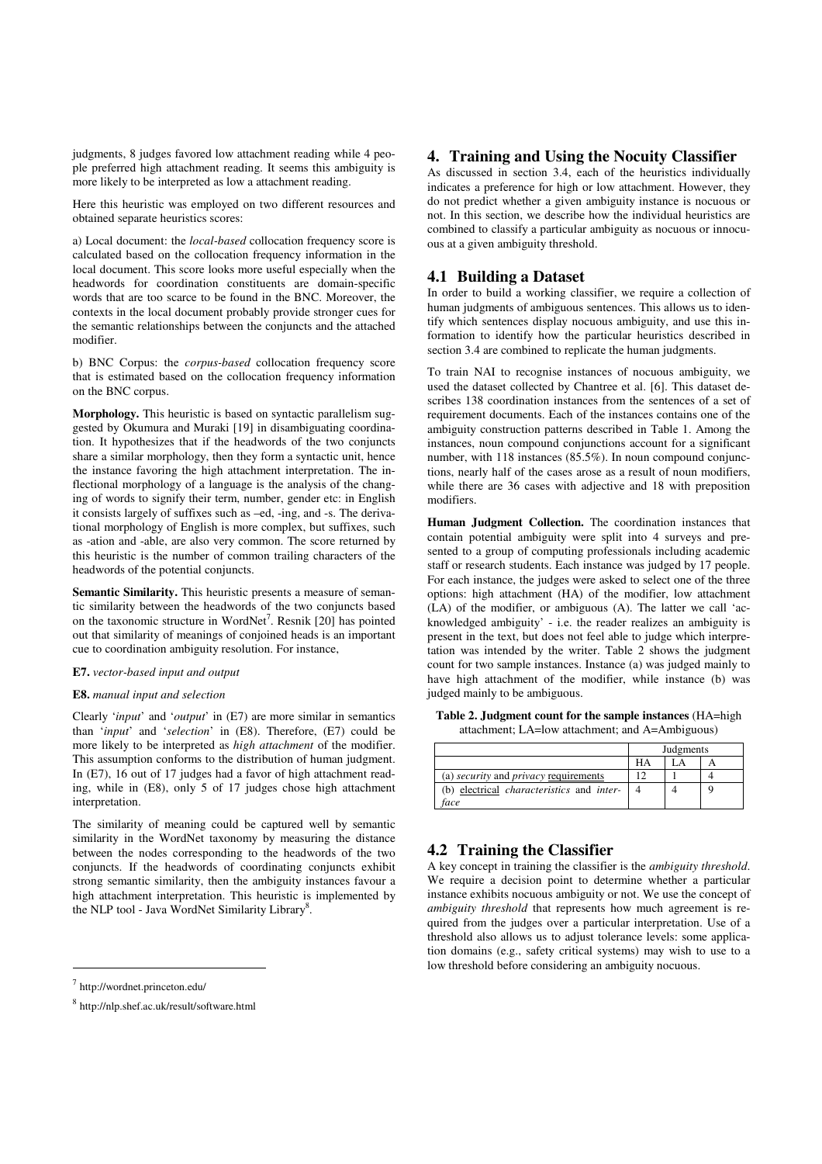judgments, 8 judges favored low attachment reading while 4 people preferred high attachment reading. It seems this ambiguity is more likely to be interpreted as low a attachment reading.

Here this heuristic was employed on two different resources and obtained separate heuristics scores:

a) Local document: the *local-based* collocation frequency score is calculated based on the collocation frequency information in the local document. This score looks more useful especially when the headwords for coordination constituents are domain-specific words that are too scarce to be found in the BNC. Moreover, the contexts in the local document probably provide stronger cues for the semantic relationships between the conjuncts and the attached modifier.

b) BNC Corpus: the *corpus-based* collocation frequency score that is estimated based on the collocation frequency information on the BNC corpus.

**Morphology.** This heuristic is based on syntactic parallelism suggested by Okumura and Muraki [19] in disambiguating coordination. It hypothesizes that if the headwords of the two conjuncts share a similar morphology, then they form a syntactic unit, hence the instance favoring the high attachment interpretation. The inflectional morphology of a language is the analysis of the changing of words to signify their term, number, gender etc: in English it consists largely of suffixes such as –ed, -ing, and -s. The derivational morphology of English is more complex, but suffixes, such as -ation and -able, are also very common. The score returned by this heuristic is the number of common trailing characters of the headwords of the potential conjuncts.

**Semantic Similarity.** This heuristic presents a measure of semantic similarity between the headwords of the two conjuncts based on the taxonomic structure in WordNet<sup>7</sup>. Resnik [20] has pointed out that similarity of meanings of conjoined heads is an important cue to coordination ambiguity resolution. For instance,

### **E7.** *vector-based input and output*

#### **E8.** *manual input and selection*

Clearly '*input*' and '*output*' in (E7) are more similar in semantics than '*input*' and '*selection*' in (E8). Therefore, (E7) could be more likely to be interpreted as *high attachment* of the modifier. This assumption conforms to the distribution of human judgment. In (E7), 16 out of 17 judges had a favor of high attachment reading, while in (E8), only 5 of 17 judges chose high attachment interpretation.

The similarity of meaning could be captured well by semantic similarity in the WordNet taxonomy by measuring the distance between the nodes corresponding to the headwords of the two conjuncts. If the headwords of coordinating conjuncts exhibit strong semantic similarity, then the ambiguity instances favour a high attachment interpretation. This heuristic is implemented by the NLP tool - Java WordNet Similarity Library<sup>8</sup>.

#### 7 http://wordnet.princeton.edu/

j

# **4. Training and Using the Nocuity Classifier**

As discussed in section 3.4, each of the heuristics individually indicates a preference for high or low attachment. However, they do not predict whether a given ambiguity instance is nocuous or not. In this section, we describe how the individual heuristics are combined to classify a particular ambiguity as nocuous or innocuous at a given ambiguity threshold.

# **4.1 Building a Dataset**

In order to build a working classifier, we require a collection of human judgments of ambiguous sentences. This allows us to identify which sentences display nocuous ambiguity, and use this information to identify how the particular heuristics described in section 3.4 are combined to replicate the human judgments.

To train NAI to recognise instances of nocuous ambiguity, we used the dataset collected by Chantree et al. [6]. This dataset describes 138 coordination instances from the sentences of a set of requirement documents. Each of the instances contains one of the ambiguity construction patterns described in Table 1. Among the instances, noun compound conjunctions account for a significant number, with 118 instances (85.5%). In noun compound conjunctions, nearly half of the cases arose as a result of noun modifiers, while there are 36 cases with adjective and 18 with preposition modifiers.

**Human Judgment Collection.** The coordination instances that contain potential ambiguity were split into 4 surveys and presented to a group of computing professionals including academic staff or research students. Each instance was judged by 17 people. For each instance, the judges were asked to select one of the three options: high attachment (HA) of the modifier, low attachment (LA) of the modifier, or ambiguous (A). The latter we call 'acknowledged ambiguity' - i.e. the reader realizes an ambiguity is present in the text, but does not feel able to judge which interpretation was intended by the writer. Table 2 shows the judgment count for two sample instances. Instance (a) was judged mainly to have high attachment of the modifier, while instance (b) was judged mainly to be ambiguous.

**Table 2. Judgment count for the sample instances** (HA=high attachment; LA=low attachment; and A=Ambiguous)

|                                                         | Judgments |  |  |
|---------------------------------------------------------|-----------|--|--|
|                                                         | HA        |  |  |
| (a) <i>security</i> and <i>privacy</i> requirements     | 12        |  |  |
| (b) electrical <i>characteristics</i> and <i>inter-</i> |           |  |  |
| face                                                    |           |  |  |

# **4.2 Training the Classifier**

A key concept in training the classifier is the *ambiguity threshold*. We require a decision point to determine whether a particular instance exhibits nocuous ambiguity or not. We use the concept of *ambiguity threshold* that represents how much agreement is required from the judges over a particular interpretation. Use of a threshold also allows us to adjust tolerance levels: some application domains (e.g., safety critical systems) may wish to use to a low threshold before considering an ambiguity nocuous.

<sup>8</sup> http://nlp.shef.ac.uk/result/software.html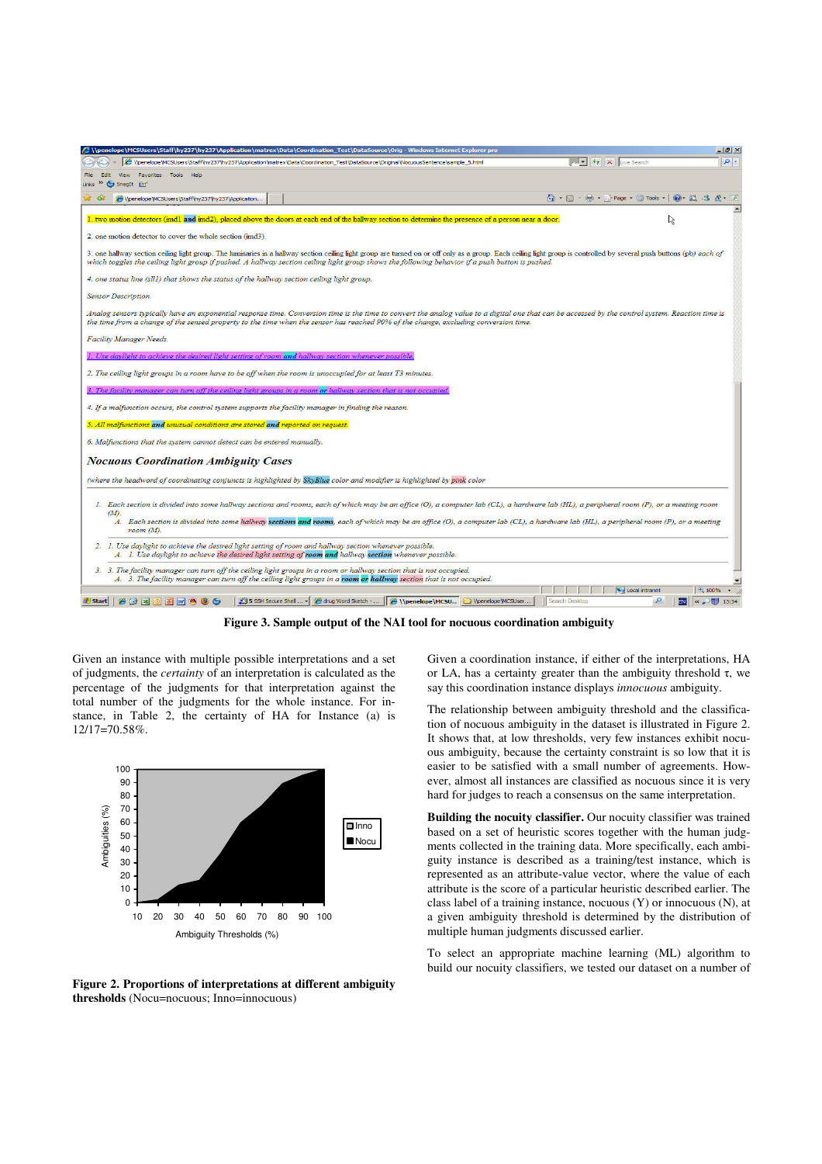

**Figure 3. Sample output of the NAI tool for nocuous coordination ambiguity** 

Given an instance with multiple possible interpretations and a set of judgments, the *certainty* of an interpretation is calculated as the percentage of the judgments for that interpretation against the total number of the judgments for the whole instance. For instance, in Table 2, the certainty of HA for Instance (a) is 12/17=70.58%.



**Figure 2. Proportions of interpretations at different ambiguity thresholds** (Nocu=nocuous; Inno=innocuous)

Given a coordination instance, if either of the interpretations, HA or LA, has a certainty greater than the ambiguity threshold τ, we say this coordination instance displays *innocuous* ambiguity.

The relationship between ambiguity threshold and the classification of nocuous ambiguity in the dataset is illustrated in Figure 2. It shows that, at low thresholds, very few instances exhibit nocuous ambiguity, because the certainty constraint is so low that it is easier to be satisfied with a small number of agreements. However, almost all instances are classified as nocuous since it is very hard for judges to reach a consensus on the same interpretation.

**Building the nocuity classifier.** Our nocuity classifier was trained based on a set of heuristic scores together with the human judgments collected in the training data. More specifically, each ambiguity instance is described as a training/test instance, which is represented as an attribute-value vector, where the value of each attribute is the score of a particular heuristic described earlier. The class label of a training instance, nocuous (Y) or innocuous (N), at a given ambiguity threshold is determined by the distribution of multiple human judgments discussed earlier.

To select an appropriate machine learning (ML) algorithm to build our nocuity classifiers, we tested our dataset on a number of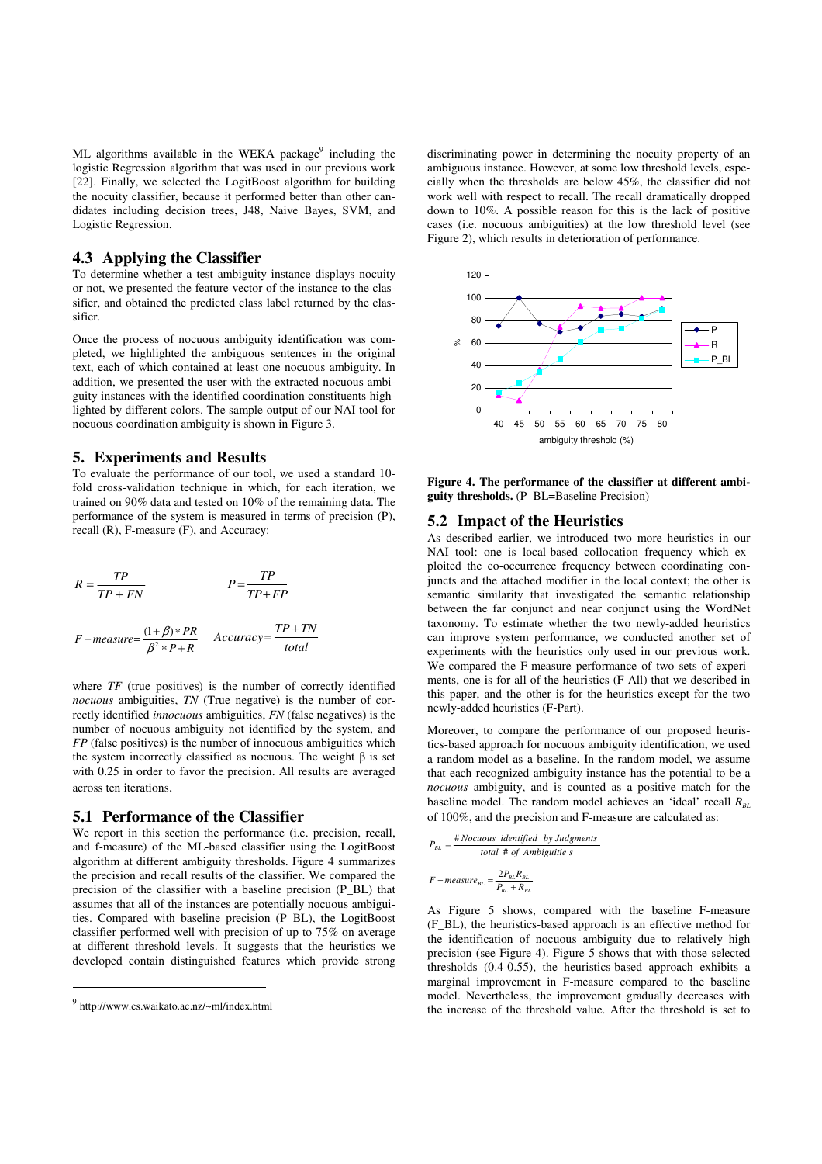ML algorithms available in the WEKA package<sup>9</sup> including the logistic Regression algorithm that was used in our previous work [22]. Finally, we selected the LogitBoost algorithm for building the nocuity classifier, because it performed better than other candidates including decision trees, J48, Naive Bayes, SVM, and Logistic Regression.

# **4.3 Applying the Classifier**

To determine whether a test ambiguity instance displays nocuity or not, we presented the feature vector of the instance to the classifier, and obtained the predicted class label returned by the classifier.

Once the process of nocuous ambiguity identification was completed, we highlighted the ambiguous sentences in the original text, each of which contained at least one nocuous ambiguity. In addition, we presented the user with the extracted nocuous ambiguity instances with the identified coordination constituents highlighted by different colors. The sample output of our NAI tool for nocuous coordination ambiguity is shown in Figure 3.

#### **5. Experiments and Results**

To evaluate the performance of our tool, we used a standard 10 fold cross-validation technique in which, for each iteration, we trained on 90% data and tested on 10% of the remaining data. The performance of the system is measured in terms of precision (P), recall (R), F-measure (F), and Accuracy:

$$
R = \frac{TP}{TP + FN}
$$
  

$$
P = \frac{TP}{TP + FP}
$$
  

$$
F - measure = \frac{(1+\beta)*PR}{\beta^2*P+R}
$$
 Accuracy =  $\frac{TP + TN}{total}$ 

where *TF* (true positives) is the number of correctly identified *nocuous* ambiguities, *TN* (True negative) is the number of correctly identified *innocuous* ambiguities, *FN* (false negatives) is the number of nocuous ambiguity not identified by the system, and *FP* (false positives) is the number of innocuous ambiguities which the system incorrectly classified as nocuous. The weight β is set with 0.25 in order to favor the precision. All results are averaged across ten iterations.

#### **5.1 Performance of the Classifier**

We report in this section the performance (i.e. precision, recall, and f-measure) of the ML-based classifier using the LogitBoost algorithm at different ambiguity thresholds. Figure 4 summarizes the precision and recall results of the classifier. We compared the precision of the classifier with a baseline precision (P\_BL) that assumes that all of the instances are potentially nocuous ambiguities. Compared with baseline precision (P\_BL), the LogitBoost classifier performed well with precision of up to 75% on average at different threshold levels. It suggests that the heuristics we developed contain distinguished features which provide strong

j

discriminating power in determining the nocuity property of an ambiguous instance. However, at some low threshold levels, especially when the thresholds are below 45%, the classifier did not work well with respect to recall. The recall dramatically dropped down to 10%. A possible reason for this is the lack of positive cases (i.e. nocuous ambiguities) at the low threshold level (see Figure 2), which results in deterioration of performance.



**Figure 4. The performance of the classifier at different ambiguity thresholds.** (P\_BL=Baseline Precision)

# **5.2 Impact of the Heuristics**

As described earlier, we introduced two more heuristics in our NAI tool: one is local-based collocation frequency which exploited the co-occurrence frequency between coordinating conjuncts and the attached modifier in the local context; the other is semantic similarity that investigated the semantic relationship between the far conjunct and near conjunct using the WordNet taxonomy. To estimate whether the two newly-added heuristics can improve system performance, we conducted another set of experiments with the heuristics only used in our previous work. We compared the F-measure performance of two sets of experiments, one is for all of the heuristics (F-All) that we described in this paper, and the other is for the heuristics except for the two newly-added heuristics (F-Part).

Moreover, to compare the performance of our proposed heuristics-based approach for nocuous ambiguity identification, we used a random model as a baseline. In the random model, we assume that each recognized ambiguity instance has the potential to be a *nocuous* ambiguity, and is counted as a positive match for the baseline model. The random model achieves an 'ideal' recall  $R_{\text{B}I}$ of 100%, and the precision and F-measure are calculated as:

$$
P_{BL} = \frac{\text{\# Nocuous identified by Judgments}}{\text{total \# of Ambiguities}}
$$
\n
$$
F - \text{measure}_{BL} = \frac{2P_{BL}R_{BL}}{P_{BL} + R_{BL}}
$$

As Figure 5 shows, compared with the baseline F-measure (F\_BL), the heuristics-based approach is an effective method for the identification of nocuous ambiguity due to relatively high precision (see Figure 4). Figure 5 shows that with those selected thresholds (0.4-0.55), the heuristics-based approach exhibits a marginal improvement in F-measure compared to the baseline model. Nevertheless, the improvement gradually decreases with the increase of the threshold value. After the threshold is set to

<sup>&</sup>lt;sup>9</sup> http://www.cs.waikato.ac.nz/~ml/index.html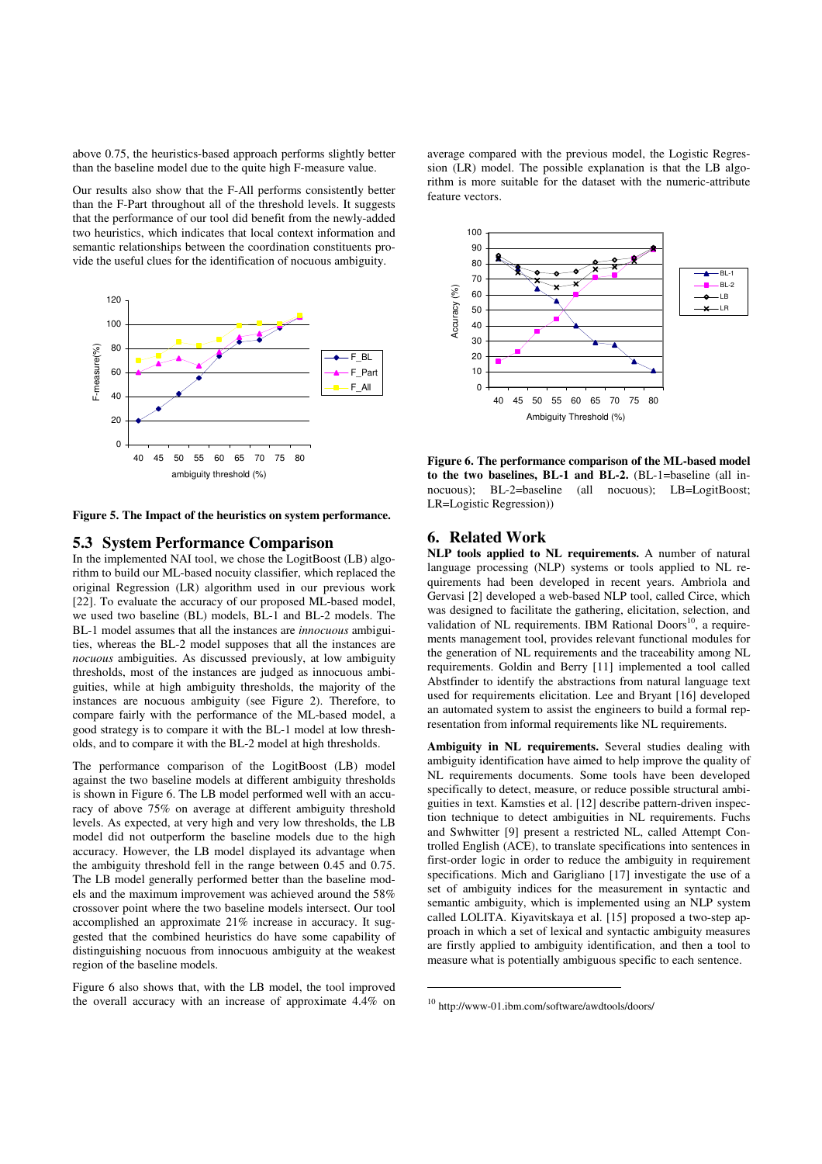above 0.75, the heuristics-based approach performs slightly better than the baseline model due to the quite high F-measure value.

Our results also show that the F-All performs consistently better than the F-Part throughout all of the threshold levels. It suggests that the performance of our tool did benefit from the newly-added two heuristics, which indicates that local context information and semantic relationships between the coordination constituents provide the useful clues for the identification of nocuous ambiguity.



**Figure 5. The Impact of the heuristics on system performance.** 

# **5.3 System Performance Comparison**

In the implemented NAI tool, we chose the LogitBoost (LB) algorithm to build our ML-based nocuity classifier, which replaced the original Regression (LR) algorithm used in our previous work [22]. To evaluate the accuracy of our proposed ML-based model, we used two baseline (BL) models, BL-1 and BL-2 models. The BL-1 model assumes that all the instances are *innocuous* ambiguities, whereas the BL-2 model supposes that all the instances are *nocuous* ambiguities. As discussed previously, at low ambiguity thresholds, most of the instances are judged as innocuous ambiguities, while at high ambiguity thresholds, the majority of the instances are nocuous ambiguity (see Figure 2). Therefore, to compare fairly with the performance of the ML-based model, a good strategy is to compare it with the BL-1 model at low thresholds, and to compare it with the BL-2 model at high thresholds.

The performance comparison of the LogitBoost (LB) model against the two baseline models at different ambiguity thresholds is shown in Figure 6. The LB model performed well with an accuracy of above 75% on average at different ambiguity threshold levels. As expected, at very high and very low thresholds, the LB model did not outperform the baseline models due to the high accuracy. However, the LB model displayed its advantage when the ambiguity threshold fell in the range between 0.45 and 0.75. The LB model generally performed better than the baseline models and the maximum improvement was achieved around the 58% crossover point where the two baseline models intersect. Our tool accomplished an approximate 21% increase in accuracy. It suggested that the combined heuristics do have some capability of distinguishing nocuous from innocuous ambiguity at the weakest region of the baseline models.

Figure 6 also shows that, with the LB model, the tool improved the overall accuracy with an increase of approximate 4.4% on

average compared with the previous model, the Logistic Regression (LR) model. The possible explanation is that the LB algorithm is more suitable for the dataset with the numeric-attribute feature vectors.



**Figure 6. The performance comparison of the ML-based model to the two baselines, BL-1 and BL-2.** (BL-1=baseline (all innocuous); BL-2=baseline (all nocuous); LB=LogitBoost; LR=Logistic Regression))

# **6. Related Work**

**NLP tools applied to NL requirements.** A number of natural language processing (NLP) systems or tools applied to NL requirements had been developed in recent years. Ambriola and Gervasi [2] developed a web-based NLP tool, called Circe, which was designed to facilitate the gathering, elicitation, selection, and validation of NL requirements. IBM Rational Doors $^{10}$ , a requirements management tool, provides relevant functional modules for the generation of NL requirements and the traceability among NL requirements. Goldin and Berry [11] implemented a tool called Abstfinder to identify the abstractions from natural language text used for requirements elicitation. Lee and Bryant [16] developed an automated system to assist the engineers to build a formal representation from informal requirements like NL requirements.

**Ambiguity in NL requirements.** Several studies dealing with ambiguity identification have aimed to help improve the quality of NL requirements documents. Some tools have been developed specifically to detect, measure, or reduce possible structural ambiguities in text. Kamsties et al. [12] describe pattern-driven inspection technique to detect ambiguities in NL requirements. Fuchs and Swhwitter [9] present a restricted NL, called Attempt Controlled English (ACE), to translate specifications into sentences in first-order logic in order to reduce the ambiguity in requirement specifications. Mich and Garigliano [17] investigate the use of a set of ambiguity indices for the measurement in syntactic and semantic ambiguity, which is implemented using an NLP system called LOLITA. Kiyavitskaya et al. [15] proposed a two-step approach in which a set of lexical and syntactic ambiguity measures are firstly applied to ambiguity identification, and then a tool to measure what is potentially ambiguous specific to each sentence.

 $\overline{a}$ 

<sup>10</sup> http://www-01.ibm.com/software/awdtools/doors/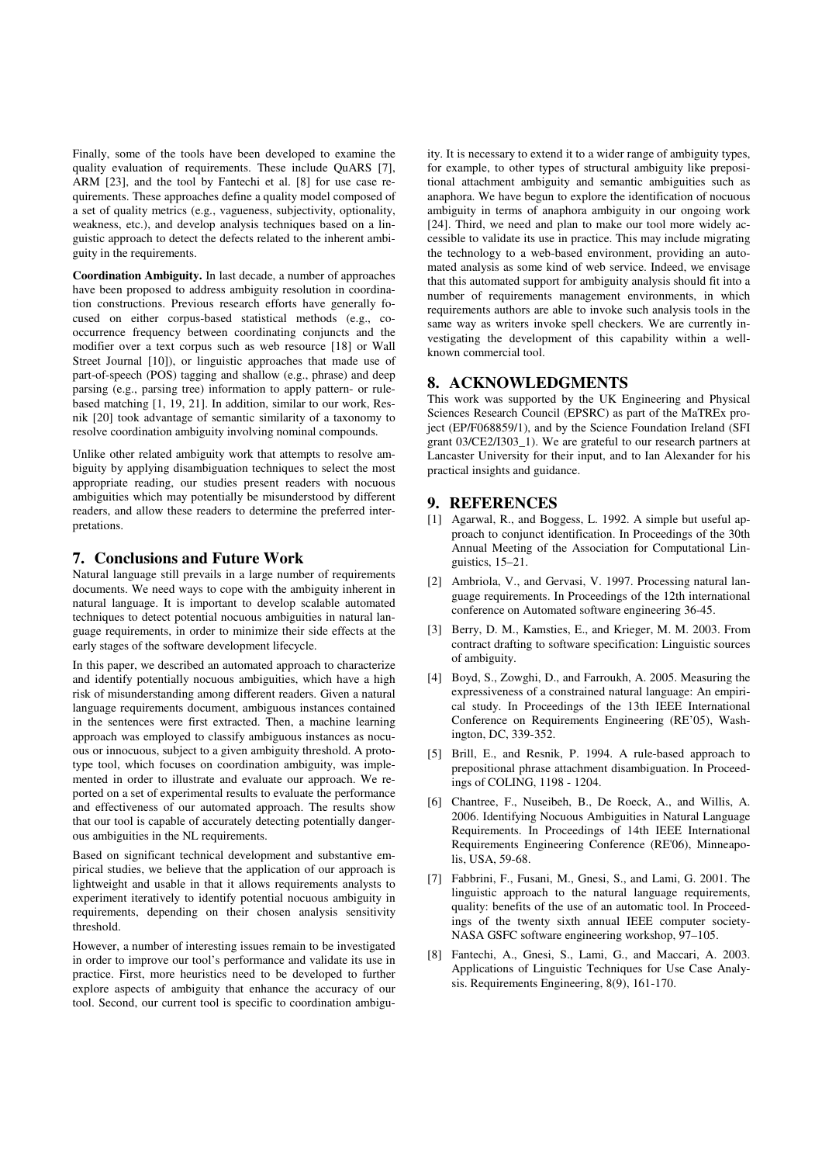Finally, some of the tools have been developed to examine the quality evaluation of requirements. These include QuARS [7], ARM [23], and the tool by Fantechi et al. [8] for use case requirements. These approaches define a quality model composed of a set of quality metrics (e.g., vagueness, subjectivity, optionality, weakness, etc.), and develop analysis techniques based on a linguistic approach to detect the defects related to the inherent ambiguity in the requirements.

**Coordination Ambiguity.** In last decade, a number of approaches have been proposed to address ambiguity resolution in coordination constructions. Previous research efforts have generally focused on either corpus-based statistical methods (e.g., cooccurrence frequency between coordinating conjuncts and the modifier over a text corpus such as web resource [18] or Wall Street Journal [10]), or linguistic approaches that made use of part-of-speech (POS) tagging and shallow (e.g., phrase) and deep parsing (e.g., parsing tree) information to apply pattern- or rulebased matching [1, 19, 21]. In addition, similar to our work, Resnik [20] took advantage of semantic similarity of a taxonomy to resolve coordination ambiguity involving nominal compounds.

Unlike other related ambiguity work that attempts to resolve ambiguity by applying disambiguation techniques to select the most appropriate reading, our studies present readers with nocuous ambiguities which may potentially be misunderstood by different readers, and allow these readers to determine the preferred interpretations.

# **7. Conclusions and Future Work**

Natural language still prevails in a large number of requirements documents. We need ways to cope with the ambiguity inherent in natural language. It is important to develop scalable automated techniques to detect potential nocuous ambiguities in natural language requirements, in order to minimize their side effects at the early stages of the software development lifecycle.

In this paper, we described an automated approach to characterize and identify potentially nocuous ambiguities, which have a high risk of misunderstanding among different readers. Given a natural language requirements document, ambiguous instances contained in the sentences were first extracted. Then, a machine learning approach was employed to classify ambiguous instances as nocuous or innocuous, subject to a given ambiguity threshold. A prototype tool, which focuses on coordination ambiguity, was implemented in order to illustrate and evaluate our approach. We reported on a set of experimental results to evaluate the performance and effectiveness of our automated approach. The results show that our tool is capable of accurately detecting potentially dangerous ambiguities in the NL requirements.

Based on significant technical development and substantive empirical studies, we believe that the application of our approach is lightweight and usable in that it allows requirements analysts to experiment iteratively to identify potential nocuous ambiguity in requirements, depending on their chosen analysis sensitivity threshold.

However, a number of interesting issues remain to be investigated in order to improve our tool's performance and validate its use in practice. First, more heuristics need to be developed to further explore aspects of ambiguity that enhance the accuracy of our tool. Second, our current tool is specific to coordination ambigu-

ity. It is necessary to extend it to a wider range of ambiguity types, for example, to other types of structural ambiguity like prepositional attachment ambiguity and semantic ambiguities such as anaphora. We have begun to explore the identification of nocuous ambiguity in terms of anaphora ambiguity in our ongoing work [24]. Third, we need and plan to make our tool more widely accessible to validate its use in practice. This may include migrating the technology to a web-based environment, providing an automated analysis as some kind of web service. Indeed, we envisage that this automated support for ambiguity analysis should fit into a number of requirements management environments, in which requirements authors are able to invoke such analysis tools in the same way as writers invoke spell checkers. We are currently investigating the development of this capability within a wellknown commercial tool.

# **8. ACKNOWLEDGMENTS**

This work was supported by the UK Engineering and Physical Sciences Research Council (EPSRC) as part of the MaTREx project (EP/F068859/1), and by the Science Foundation Ireland (SFI grant 03/CE2/I303\_1). We are grateful to our research partners at Lancaster University for their input, and to Ian Alexander for his practical insights and guidance.

#### **9. REFERENCES**

- [1] Agarwal, R., and Boggess, L. 1992. A simple but useful approach to conjunct identification. In Proceedings of the 30th Annual Meeting of the Association for Computational Linguistics, 15–21.
- [2] Ambriola, V., and Gervasi, V. 1997. Processing natural language requirements. In Proceedings of the 12th international conference on Automated software engineering 36-45.
- [3] Berry, D. M., Kamsties, E., and Krieger, M. M. 2003. From contract drafting to software specification: Linguistic sources of ambiguity.
- [4] Boyd, S., Zowghi, D., and Farroukh, A. 2005. Measuring the expressiveness of a constrained natural language: An empirical study. In Proceedings of the 13th IEEE International Conference on Requirements Engineering (RE'05), Washington, DC, 339-352.
- [5] Brill, E., and Resnik, P. 1994. A rule-based approach to prepositional phrase attachment disambiguation. In Proceedings of COLING, 1198 - 1204.
- [6] Chantree, F., Nuseibeh, B., De Roeck, A., and Willis, A. 2006. Identifying Nocuous Ambiguities in Natural Language Requirements. In Proceedings of 14th IEEE International Requirements Engineering Conference (RE'06), Minneapolis, USA, 59-68.
- [7] Fabbrini, F., Fusani, M., Gnesi, S., and Lami, G. 2001. The linguistic approach to the natural language requirements, quality: benefits of the use of an automatic tool. In Proceedings of the twenty sixth annual IEEE computer society-NASA GSFC software engineering workshop, 97–105.
- [8] Fantechi, A., Gnesi, S., Lami, G., and Maccari, A. 2003. Applications of Linguistic Techniques for Use Case Analysis. Requirements Engineering, 8(9), 161-170.